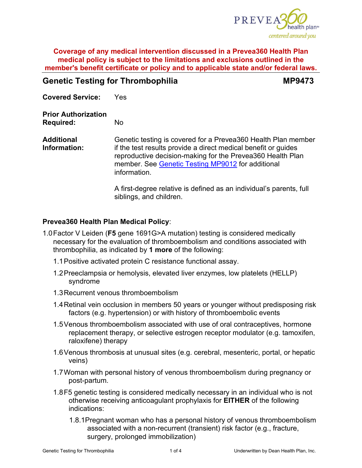

# **Genetic Testing for Thrombophilia MP9473**

**Covered Service:** Yes

**Prior Authorization Required:** No

**Additional Information:** Genetic testing is covered for a Prevea360 Health Plan member if the test results provide a direct medical benefit or guides reproductive decision-making for the Prevea360 Health Plan member. See [Genetic Testing MP9012](https://www.prevea360.com/DocumentLibrary/PDF/Medical-Policies/Genetic-Testing-9012) for additional information.

> A first-degree relative is defined as an individual's parents, full siblings, and children.

# **Prevea360 Health Plan Medical Policy**:

- 1.0Factor V Leiden (**F5** gene 1691G>A mutation) testing is considered medically necessary for the evaluation of thromboembolism and conditions associated with thrombophilia, as indicated by **1 more** of the following:
	- 1.1Positive activated protein C resistance functional assay.
	- 1.2Preeclampsia or hemolysis, elevated liver enzymes, low platelets (HELLP) syndrome
	- 1.3Recurrent venous thromboembolism
	- 1.4Retinal vein occlusion in members 50 years or younger without predisposing risk factors (e.g. hypertension) or with history of thromboembolic events
	- 1.5Venous thromboembolism associated with use of oral contraceptives, hormone replacement therapy, or selective estrogen receptor modulator (e.g. tamoxifen, raloxifene) therapy
	- 1.6Venous thrombosis at unusual sites (e.g. cerebral, mesenteric, portal, or hepatic veins)
	- 1.7Woman with personal history of venous thromboembolism during pregnancy or post-partum.
	- 1.8F5 genetic testing is considered medically necessary in an individual who is not otherwise receiving anticoagulant prophylaxis for **EITHER** of the following indications:
		- 1.8.1Pregnant woman who has a personal history of venous thromboembolism associated with a non-recurrent (transient) risk factor (e.g., fracture, surgery, prolonged immobilization)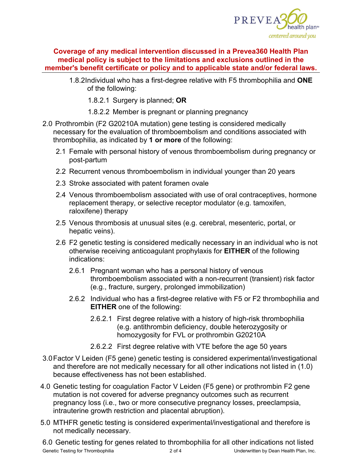

- 1.8.2Individual who has a first-degree relative with F5 thrombophilia and **ONE** of the following:
	- 1.8.2.1 Surgery is planned; **OR**
	- 1.8.2.2 Member is pregnant or planning pregnancy
- 2.0 Prothrombin (F2 G20210A mutation) gene testing is considered medically necessary for the evaluation of thromboembolism and conditions associated with thrombophilia, as indicated by **1 or more** of the following:
	- 2.1 Female with personal history of venous thromboembolism during pregnancy or post-partum
	- 2.2 Recurrent venous thromboembolism in individual younger than 20 years
	- 2.3 Stroke associated with patent foramen ovale
	- 2.4 Venous thromboembolism associated with use of oral contraceptives, hormone replacement therapy, or selective receptor modulator (e.g. tamoxifen, raloxifene) therapy
	- 2.5 Venous thrombosis at unusual sites (e.g. cerebral, mesenteric, portal, or hepatic veins).
	- 2.6 F2 genetic testing is considered medically necessary in an individual who is not otherwise receiving anticoagulant prophylaxis for **EITHER** of the following indications:
		- 2.6.1 Pregnant woman who has a personal history of venous thromboembolism associated with a non-recurrent (transient) risk factor (e.g., fracture, surgery, prolonged immobilization)
		- 2.6.2 Individual who has a first-degree relative with F5 or F2 thrombophilia and **EITHER** one of the following:
			- 2.6.2.1 First degree relative with a history of high-risk thrombophilia (e.g. antithrombin deficiency, double heterozygosity or homozygosity for FVL or prothrombin G20210A
			- 2.6.2.2 First degree relative with VTE before the age 50 years
- 3.0Factor V Leiden (F5 gene) genetic testing is considered experimental/investigational and therefore are not medically necessary for all other indications not listed in (1.0) because effectiveness has not been established.
- 4.0 Genetic testing for coagulation Factor V Leiden (F5 gene) or prothrombin F2 gene mutation is not covered for adverse pregnancy outcomes such as recurrent pregnancy loss (i.e., two or more consecutive pregnancy losses, preeclampsia, intrauterine growth restriction and placental abruption).
- 5.0 MTHFR genetic testing is considered experimental/investigational and therefore is not medically necessary.

Genetic Testing for Thrombophilia **2 of 4** 2 of 4 Underwritten by Dean Health Plan, Inc. 6.0 Genetic testing for genes related to thrombophilia for all other indications not listed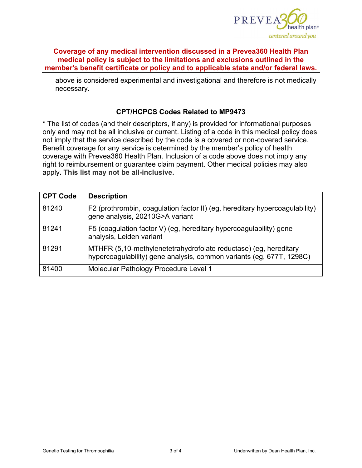

above is considered experimental and investigational and therefore is not medically necessary.

#### **CPT/HCPCS Codes Related to MP9473**

**\*** The list of codes (and their descriptors, if any) is provided for informational purposes only and may not be all inclusive or current. Listing of a code in this medical policy does not imply that the service described by the code is a covered or non-covered service. Benefit coverage for any service is determined by the member's policy of health coverage with Prevea360 Health Plan. Inclusion of a code above does not imply any right to reimbursement or guarantee claim payment. Other medical policies may also apply**. This list may not be all-inclusive.**

| <b>CPT Code</b> | <b>Description</b>                                                                                                                       |
|-----------------|------------------------------------------------------------------------------------------------------------------------------------------|
| 81240           | F2 (prothrombin, coagulation factor II) (eg, hereditary hypercoagulability)<br>gene analysis, 20210G>A variant                           |
| 81241           | F5 (coagulation factor V) (eg, hereditary hypercoagulability) gene<br>analysis, Leiden variant                                           |
| 81291           | MTHFR (5,10-methylenetetrahydrofolate reductase) (eg, hereditary<br>hypercoagulability) gene analysis, common variants (eg, 677T, 1298C) |
| 81400           | Molecular Pathology Procedure Level 1                                                                                                    |